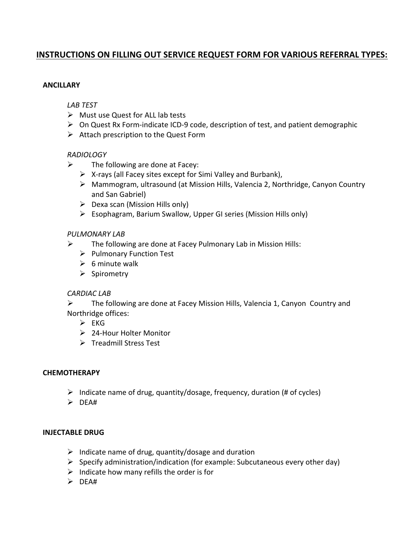# **INSTRUCTIONS ON FILLING OUT SERVICE REQUEST FORM FOR VARIOUS REFERRAL TYPES:**

#### **ANCILLARY**

#### *LAB TEST*

- $\triangleright$  Must use Quest for ALL lab tests
- $\triangleright$  On Quest Rx Form-indicate ICD-9 code, description of test, and patient demographic
- $\triangleright$  Attach prescription to the Quest Form

#### *RADIOLOGY*

- $\triangleright$  The following are done at Facey:
	- $\triangleright$  X-rays (all Facey sites except for Simi Valley and Burbank),
	- $\triangleright$  Mammogram, ultrasound (at Mission Hills, Valencia 2, Northridge, Canyon Country and San Gabriel)
	- $\triangleright$  Dexa scan (Mission Hills only)
	- $\triangleright$  Esophagram, Barium Swallow, Upper GI series (Mission Hills only)

#### *PULMONARY LAB*

- $\triangleright$  The following are done at Facey Pulmonary Lab in Mission Hills:
	- $\triangleright$  Pulmonary Function Test
	- $\triangleright$  6 minute walk
	- $\triangleright$  Spirometry

#### *CARDIAC LAB*

 $\triangleright$  The following are done at Facey Mission Hills, Valencia 1, Canyon Country and Northridge offices:

- $\triangleright$  FKG
- $\geq 24$ -Hour Holter Monitor
- $\triangleright$  Treadmill Stress Test

#### **CHEMOTHERAPY**

- $\triangleright$  Indicate name of drug, quantity/dosage, frequency, duration (# of cycles)
- $\triangleright$  DEA#

#### **INJECTABLE DRUG**

- $\triangleright$  Indicate name of drug, quantity/dosage and duration
- $\triangleright$  Specify administration/indication (for example: Subcutaneous every other day)
- $\triangleright$  Indicate how many refills the order is for
- $\triangleright$  DEA#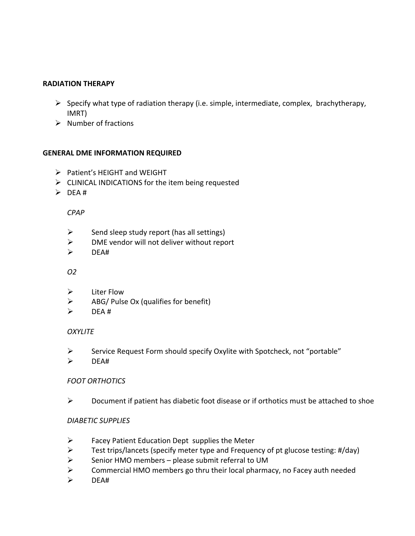### **RADIATION THERAPY**

- $\triangleright$  Specify what type of radiation therapy (i.e. simple, intermediate, complex, brachytherapy, IMRT)
- $\triangleright$  Number of fractions

## **GENERAL DME INFORMATION REQUIRED**

- $\triangleright$  Patient's HEIGHT and WEIGHT
- $\triangleright$  CLINICAL INDICATIONS for the item being requested
- $\triangleright$  DEA #

*CPAP*

- $\triangleright$  Send sleep study report (has all settings)
- $\triangleright$  DME vendor will not deliver without report
- $\triangleright$  DFA#

### *O2*

- $\triangleright$  Liter Flow
- $\triangleright$  ABG/ Pulse Ox (qualifies for benefit)
- $\triangleright$  DEA #

## *OXYLITE*

- $\triangleright$  Service Request Form should specify Oxylite with Spotcheck, not "portable"
- $\triangleright$  DEA#

## *FOOT ORTHOTICS*

 $\triangleright$  Document if patient has diabetic foot disease or if orthotics must be attached to shoe

## *DIABETIC SUPPLIES*

- $\triangleright$  Facey Patient Education Dept supplies the Meter
- $\triangleright$  Test trips/lancets (specify meter type and Frequency of pt glucose testing: #/day)
- $\triangleright$  Senior HMO members please submit referral to UM
- $\triangleright$  Commercial HMO members go thru their local pharmacy, no Facey auth needed
- $\triangleright$  DEA#